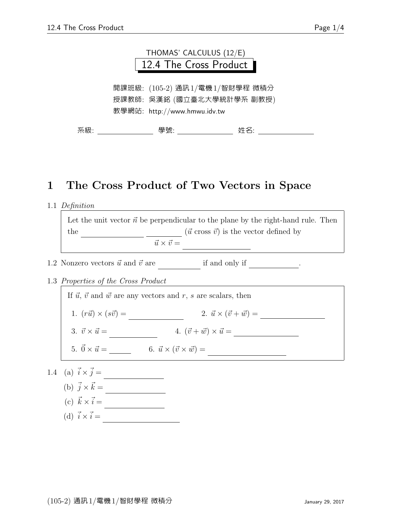

## 1 The Cross Product of Two Vectors in Space

1.1 Definition

Let the unit vector  $\vec{n}$  be perpendicular to the plane by the right-hand rule. Then the correction  $(\vec{u} \text{ cross } \vec{v})$  is the vector defined by  $\vec{u} \times \vec{v} =$ 

- 1.2 Nonzero vectors  $\vec{u}$  and  $\vec{v}$  are  $\qquad \qquad$  if and only if  $\qquad \qquad$ .
- 1.3 Properties of the Cross Product

If  $\vec{u}$ ,  $\vec{v}$  and  $\vec{w}$  are any vectors and r, s are scalars, then 1.  $(r\vec{u}) \times (s\vec{v}) =$  (2.  $\vec{u} \times (\vec{v} + \vec{w}) =$ 3.  $\vec{v} \times \vec{u} = 4. (\vec{v} + \vec{w}) \times \vec{u} =$ 5.  $\vec{0} \times \vec{u} =$  6.  $\vec{u} \times (\vec{v} \times \vec{w}) =$ 1.4 (a)  $\vec{i} \times \vec{j} =$ 

- (b)  $\vec{j} \times \vec{k} =$ 
	- (c)  $\vec{k} \times \vec{i} =$   $\frac{\phantom{0}}{2\sqrt{1-\frac{1}{2}}\sqrt{1-\frac{1}{2}}\sqrt{1-\frac{1}{2}}\sqrt{1-\frac{1}{2}}}}$
	-
	- (d) ~i ×~i = ~j ×~j = ~k × ~k = ~0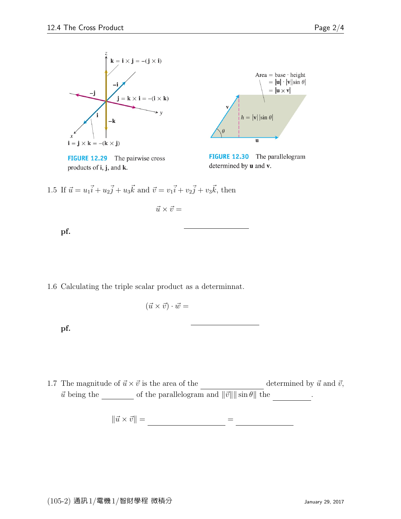

**FIGURE 12.29** The pairwise cross products of  $\mathbf{i}$ ,  $\mathbf{j}$ , and  $\mathbf{k}$ .



FIGURE 12.30 The parallelogram determined by **u** and **v**.

 $\overline{a}$ 

 $\overline{a}$ 

1.5 If  $\vec{u} = u_1 \vec{i} + u_2 \vec{j} + u_3 \vec{k}$  and  $\vec{v} = v_1 \vec{i} + v_2 \vec{j} + v_3 \vec{k}$ , then  $\frac{1}{2}$   $\frac{1}{2}$   $\frac{1}{2}$   $\frac{1}{2}$   $\frac{1}{2}$   $\frac{1}{2}$   $\frac{1}{2}$   $\frac{1}{2}$   $\frac{1}{2}$   $\frac{1}{2}$   $\frac{1}{2}$   $\frac{1}{2}$   $\frac{1}{2}$   $\frac{1}{2}$   $\frac{1}{2}$   $\frac{1}{2}$   $\frac{1}{2}$   $\frac{1}{2}$   $\frac{1}{2}$   $\frac{1}{2}$   $\frac{1}{2}$   $\frac{1}{2}$ 

 $\vec{u} \times \vec{v} =$ 

 $\overline{a}$ 

pf.

1.6 Calculating the triple scalar product as a determinnat.

$$
(\vec{u} \times \vec{v}) \cdot \vec{w} =
$$

pf.

1.7 The magnitude of  $\vec{u} \times \vec{v}$  is the area of the determined by  $\vec{u}$  and  $\vec{v}$ ,  $\vec{u}$  being the  $\_\_\_\_\_$  of the parallelogram and  $\|\vec{v}\|\|\sin\theta\|$  the  $\_\_\_\_\_\_\_\_\_\_$ 

 $\overline{a}$ 

 $\begin{array}{rcl} \Vert \vec{u} \times \vec{v} \Vert = \qquad \qquad & = \qquad \qquad \end{array}$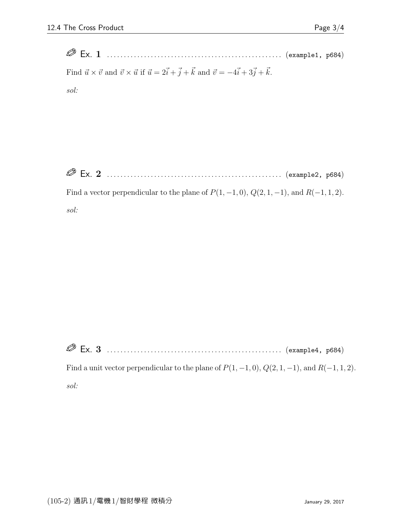Ex. 1 . . . . . . . . . . . . . . . . . . . . . . . . . . . . . . . . . . . . . . . . . . . . . . . . . . . . (example1, p684) Find  $\vec{u} \times \vec{v}$  and  $\vec{v} \times \vec{u}$  if  $\vec{u} = 2\vec{i} + \vec{j} + \vec{k}$  and  $\vec{v} = -4\vec{i} + 3\vec{j} + \vec{k}$ . sol:

Ex. 2 . . . . . . . . . . . . . . . . . . . . . . . . . . . . . . . . . . . . . . . . . . . . . . . . . . . . (example2, p684)

Find a vector perpendicular to the plane of  $P(1, -1, 0)$ ,  $Q(2, 1, -1)$ , and  $R(-1, 1, 2)$ . sol:

Ex. 3 . . . . . . . . . . . . . . . . . . . . . . . . . . . . . . . . . . . . . . . . . . . . . . . . . . . . (example4, p684)

Find a unit vector perpendicular to the plane of  $P(1, -1, 0)$ ,  $Q(2, 1, -1)$ , and  $R(-1, 1, 2)$ . sol: